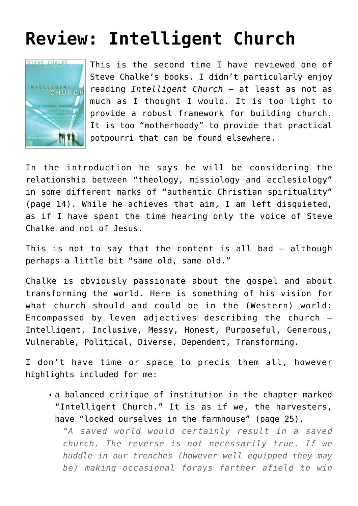## **[Review: Intelligent Church](https://briggs.id.au/jour/2009/03/intelligent-church-review/)**



This is the second time I have [reviewed](http://god-s-will.blogspot.com/2008/10/change-agents-review.html) one of [Steve Chalke](http://www.oasisuk.org/about/stevechalke)'s books. I didn't particularly enjoy reading *[Intelligent Church](http://www.zondervan.com/Cultures/en-US/Product/ProductDetail.htm?ProdID=com.zondervan.9780310248842&QueryStringSite=Zondervan)* – at least as not as much as I thought I would. It is too light to provide a robust framework for building church. It is too "motherhoody" to provide that practical potpourri that can be found elsewhere.

In the introduction he says he will be considering the relationship between "theology, missiology and ecclesiology" in some different marks of "authentic Christian spirituality" (page 14). While he achieves that aim, I am left disquieted, as if I have spent the time hearing only the voice of Steve Chalke and not of Jesus.

This is not to say that the content is all bad – although perhaps a little bit "same old, same old."

Chalke is obviously passionate about the gospel and about transforming the world. Here is something of his vision for what church should and could be in the (Western) world: Encompassed by leven adjectives describing the church – Intelligent, Inclusive, Messy, Honest, Purposeful, Generous, Vulnerable, Political, Diverse, Dependent, Transforming.

I don't have time or space to precis them all, however highlights included for me:

a balanced critique of institution in the chapter marked "Intelligent Church." It is as if we, the harvesters, have "locked ourselves in the farmhouse" (page 25).

*"A saved world would certainly result in a saved church. The reverse is not necessarily true. If we huddle in our trenches (however well equipped they may be) making occasional forays farther afield to win*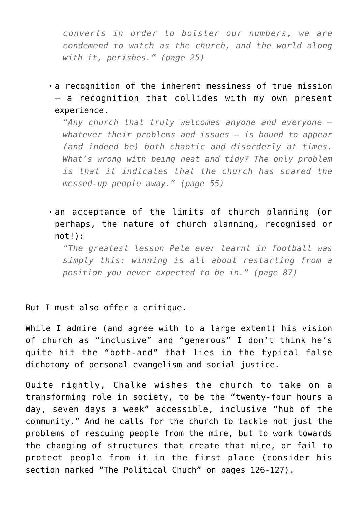*converts in order to bolster our numbers, we are condemend to watch as the church, and the world along with it, perishes." (page 25)*

a recognition of the inherent messiness of true mission – a recognition that collides with my own [present](http://will-briggs.blogspot.com/2009/03/heart-felt-conundrum.html) [experience.](http://will-briggs.blogspot.com/2009/03/heart-felt-conundrum.html)

*"Any church that truly welcomes anyone and everyone – whatever their problems and issues – is bound to appear (and indeed be) both chaotic and disorderly at times. What's wrong with being neat and tidy? The only problem is that it indicates that the church has scared the messed-up people away." (page 55)*

an acceptance of the limits of church planning (or perhaps, the nature of church planning, recognised or  $not!)$ :

*"The greatest lesson Pele ever learnt in football was simply this: winning is all about restarting from a position you never expected to be in." (page 87)*

But I must also offer a critique.

While I admire (and agree with to a large extent) his vision of church as "inclusive" and "generous" I don't think he's quite hit the "both-and" that lies in the typical false dichotomy of personal evangelism and social justice.

Quite rightly, Chalke wishes the church to take on a transforming role in society, to be the "twenty-four hours a day, seven days a week" accessible, inclusive "hub of the community." And he calls for the church to tackle not just the problems of rescuing people from the mire, but to work towards the changing of structures that create that mire, or fail to protect people from it in the first place (consider his section marked "The Political Chuch" on pages 126-127).